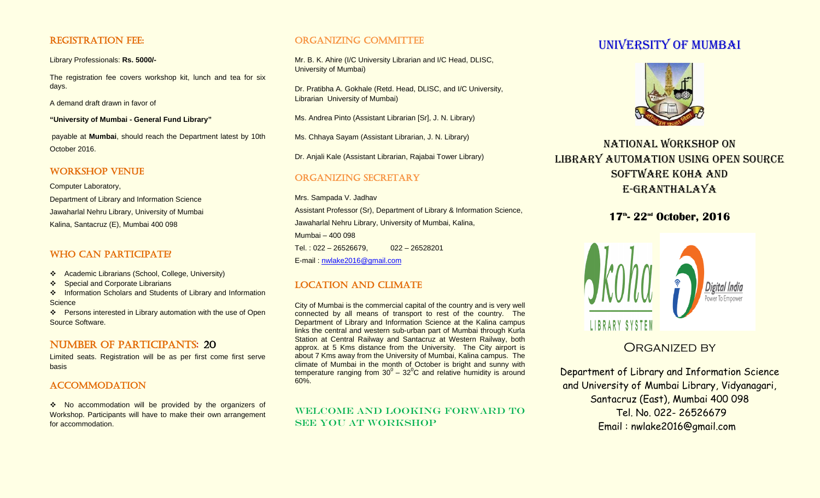### REGISTRATION FEE:

Library Professionals: **Rs. 5000/-**

The registration fee covers workshop kit, lunch and tea for six days.

A demand draft drawn in favor of

**"University of Mumbai - General Fund Library"**

payable at **Mumbai**, should reach the Department latest by 10th October 2016.

## WORKSHOP VENUE

Computer Laboratory,

Department of Library and Information Science Jawaharlal Nehru Library, University of Mumbai Kalina, Santacruz (E), Mumbai 400 098

## WHO CAN PARTICIPATE?

- Academic Librarians (School, College, University)
- ❖ Special and Corporate Librarians

❖ Information Scholars and Students of Library and Information **Science** 

❖ Persons interested in Library automation with the use of Open Source Software.

# NUMBER OF PARTICIPANTS: 20

Limited seats. Registration will be as per first come first serve basis

## **ACCOMMODATION**

\* No accommodation will be provided by the organizers of Workshop. Participants will have to make their own arrangement for accommodation.

## ORGANIZING COMMITTEE

Mr. B. K. Ahire (I/C University Librarian and I/C Head, DLISC, University of Mumbai)

Dr. Pratibha A. Gokhale (Retd. Head, DLISC, and I/C University, Librarian University of Mumbai)

Ms. Andrea Pinto (Assistant Librarian [Sr], J. N. Library)

Ms. Chhaya Sayam (Assistant Librarian, J. N. Library)

Dr. Anjali Kale (Assistant Librarian, Rajabai Tower Library)

## Organizing Secretary

Mrs. Sampada V. Jadhav Assistant Professor (Sr), Department of Library & Information Science, Jawaharlal Nehru Library, University of Mumbai, Kalina, Mumbai – 400 098 Tel. : 022 – 26526679, 022 – 26528201 E-mail : [nwlake2016@gmail.com](mailto:nwlake2016@gmail.com)

# Location and climate

City of Mumbai is the commercial capital of the country and is very well connected by all means of transport to rest of the country. The Department of Library and Information Science at the Kalina campus links the central and western sub-urban part of Mumbai through Kurla Station at Central Railway and Santacruz at Western Railway, both approx. at 5 Kms distance from the University. The City airport is about 7 Kms away from the University of Mumbai, Kalina campus. The climate of Mumbai in the month of October is bright and sunny with temperature ranging from  $30^0 - 32^0C$  and relative humidity is around 60%.

## WELCOME AND LOOKING FORWARD TO SEE YOU AT WORKSHOP

# UNIVERSITY OF MUMBAI



# National workshop on LIBRARY AUTOMATION USING OPEN SOURCE software koha and E-granthalaya

# **17th - 22nd October, 2016**



# ORGANIZED BY

Department of Library and Information Science and University of Mumbai Library, Vidyanagari, Santacruz (East), Mumbai 400 098 Tel. No. 022- 26526679 Email : nwlake2016@gmail.com